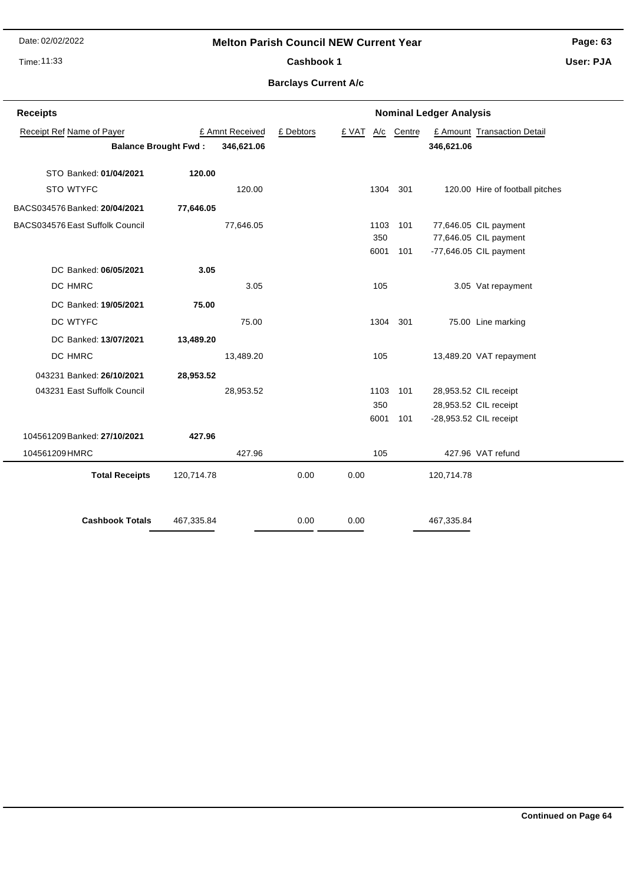Date: 02/02/2022

#### **Melton Parish Council NEW Current Year**

Time: 11:33

#### Cashbook 1

**Page: 63**

**User: PJA**

### **Barclays Current A/c**

| <b>Receipts</b>                 |            |                 | <b>Nominal Ledger Analysis</b> |       |          |            |            |                                 |
|---------------------------------|------------|-----------------|--------------------------------|-------|----------|------------|------------|---------------------------------|
| Receipt Ref Name of Payer       |            | £ Amnt Received | £ Debtors                      | £ VAT |          | A/c Centre |            | £ Amount Transaction Detail     |
| <b>Balance Brought Fwd:</b>     | 346,621.06 |                 |                                |       |          | 346,621.06 |            |                                 |
| STO Banked: 01/04/2021          | 120.00     |                 |                                |       |          |            |            |                                 |
| STO WTYFC                       |            | 120.00          |                                |       | 1304 301 |            |            | 120.00 Hire of football pitches |
|                                 |            |                 |                                |       |          |            |            |                                 |
| BACS034576 Banked: 20/04/2021   | 77,646.05  |                 |                                |       |          |            |            |                                 |
| BACS034576 East Suffolk Council |            | 77,646.05       |                                |       | 1103     | 101        |            | 77,646.05 CIL payment           |
|                                 |            |                 |                                |       | 350      |            |            | 77,646.05 CIL payment           |
|                                 |            |                 |                                |       | 6001     | 101        |            | $-77,646.05$ CIL payment        |
| DC Banked: 06/05/2021           | 3.05       |                 |                                |       |          |            |            |                                 |
| DC HMRC                         |            | 3.05            |                                |       | 105      |            |            | 3.05 Vat repayment              |
| DC Banked: 19/05/2021           | 75.00      |                 |                                |       |          |            |            |                                 |
| DC WTYFC                        |            | 75.00           |                                |       | 1304     | 301        |            | 75.00 Line marking              |
| DC Banked: 13/07/2021           | 13,489.20  |                 |                                |       |          |            |            |                                 |
| DC HMRC                         |            | 13,489.20       |                                |       | 105      |            |            | 13,489.20 VAT repayment         |
| 043231 Banked: 26/10/2021       | 28,953.52  |                 |                                |       |          |            |            |                                 |
| 043231 East Suffolk Council     |            | 28,953.52       |                                |       | 1103     | 101        |            | 28,953.52 CIL receipt           |
|                                 |            |                 |                                |       | 350      |            |            | 28,953.52 CIL receipt           |
|                                 |            |                 |                                |       | 6001     | 101        |            | -28,953.52 CIL receipt          |
| 104561209 Banked: 27/10/2021    | 427.96     |                 |                                |       |          |            |            |                                 |
| 104561209 HMRC                  |            | 427.96          |                                |       | 105      |            |            | 427.96 VAT refund               |
| <b>Total Receipts</b>           | 120,714.78 |                 | 0.00                           | 0.00  |          |            | 120,714.78 |                                 |
| <b>Cashbook Totals</b>          | 467,335.84 |                 | 0.00                           | 0.00  |          |            | 467,335.84 |                                 |